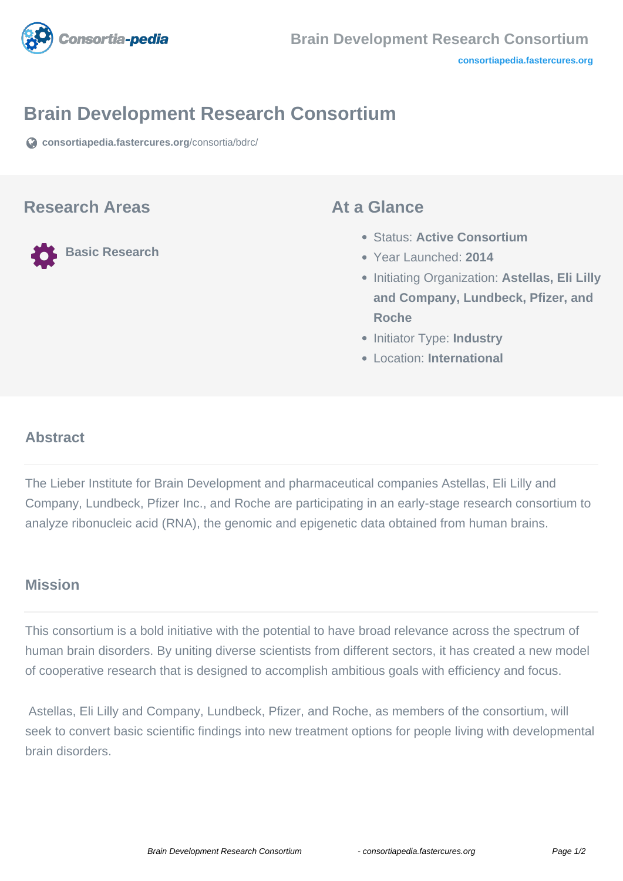

## **Brain Development Research Consortium**

**[consortiapedia.fastercures.org](https://consortiapedia.fastercures.org/consortia/bdrc/)**[/consortia/bdrc/](https://consortiapedia.fastercures.org/consortia/bdrc/)

### **Research Areas**

**Basic Research**

### **At a Glance**

- Status: **Active Consortium**
- Year Launched: **2014**
- **Initiating Organization: Astellas, Eli Lilly and Company, Lundbeck, Pfizer, and Roche**
- **Initiator Type: Industry**
- Location: **International**

#### $\overline{a}$ **Abstract**

The Lieber Institute for Brain Development and pharmaceutical companies Astellas, Eli Lilly and Company, Lundbeck, Pfizer Inc., and Roche are participating in an early-stage research consortium to analyze ribonucleic acid (RNA), the genomic and epigenetic data obtained from human brains.

## **Mission**

This consortium is a bold initiative with the potential to have broad relevance across the spectrum of human brain disorders. By uniting diverse scientists from different sectors, it has created a new model of cooperative research that is designed to accomplish ambitious goals with efficiency and focus.

 Astellas, Eli Lilly and Company, Lundbeck, Pfizer, and Roche, as members of the consortium, will seek to convert basic scientific findings into new treatment options for people living with developmental brain disorders.